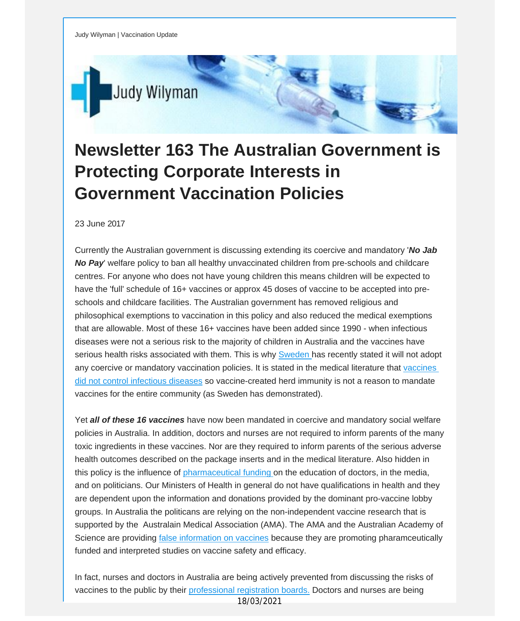

## **Newsletter 163 The Australian Government is Protecting Corporate Interests in Government Vaccination Policies**

23 June 2017

Currently the Australian government is discussing extending its coercive and mandatory '*No Jab No Pay*' welfare policy to ban all healthy unvaccinated children from pre-schools and childcare centres. For anyone who does not have young children this means children will be expected to have the 'full' schedule of 16+ vaccines or approx 45 doses of vaccine to be accepted into preschools and childcare facilities. The Australian government has removed religious and philosophical exemptions to vaccination in this policy and also reduced the medical exemptions that are allowable. Most of these 16+ vaccines have been added since 1990 - when infectious diseases were not a serious risk to the majority of children in Australia and the vaccines have serious health risks associated with them. This is why **[Sweden](http://vaccinationdecisions.us8.list-manage.com/track/click?u=f20605fde3732e41929f4a3f2&id=8dd80c5ab1&e=fec8337d3c)** has recently stated it will not adopt any coercive or mandatory vaccination policies. It is stated in the medical literature that [vaccines](http://vaccinationdecisions.us8.list-manage2.com/track/click?u=f20605fde3732e41929f4a3f2&id=d6aa6a60a7&e=fec8337d3c) did not control [infectious](http://vaccinationdecisions.us8.list-manage2.com/track/click?u=f20605fde3732e41929f4a3f2&id=d6aa6a60a7&e=fec8337d3c) diseases so vaccine-created herd immunity is not a reason to mandate vaccines for the entire community (as Sweden has demonstrated).

Yet *all of these 16 vaccines* have now been mandated in coercive and mandatory social welfare policies in Australia. In addition, doctors and nurses are not required to inform parents of the many toxic ingredients in these vaccines. Nor are they required to inform parents of the serious adverse health outcomes described on the package inserts and in the medical literature. Also hidden in this policy is the influence of [pharmaceutical](http://vaccinationdecisions.us8.list-manage.com/track/click?u=f20605fde3732e41929f4a3f2&id=b7612082ac&e=fec8337d3c) funding on the education of doctors, in the media, and on politicians. Our Ministers of Health in general do not have qualifications in health and they are dependent upon the information and donations provided by the dominant pro-vaccine lobby groups. In Australia the politicans are relying on the non-independent vaccine research that is supported by the Australain Medical Association (AMA). The AMA and the Australian Academy of Science are providing false [information](http://vaccinationdecisions.us8.list-manage1.com/track/click?u=f20605fde3732e41929f4a3f2&id=2cffd91ad2&e=fec8337d3c) on vaccines because they are promoting pharamceutically funded and interpreted studies on vaccine safety and efficacy.

In fact, nurses and doctors in Australia are being actively prevented from discussing the risks of vaccines to the public by their [professional](http://vaccinationdecisions.us8.list-manage1.com/track/click?u=f20605fde3732e41929f4a3f2&id=a1831b5cce&e=fec8337d3c) registration boards. Doctors and nurses are being 18/03/2021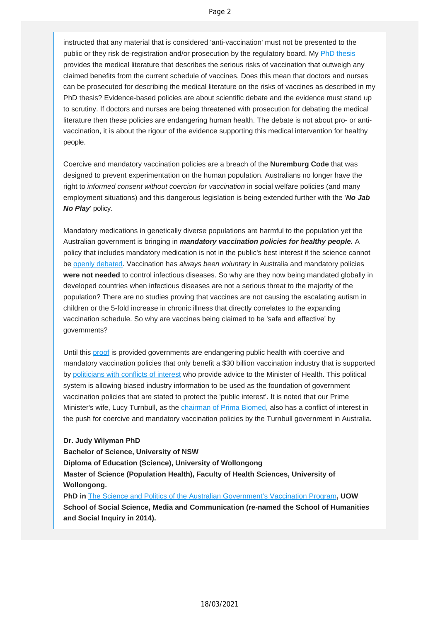instructed that any material that is considered 'anti-vaccination' must not be presented to the public or they risk de-registration and/or prosecution by the regulatory board. My [PhD thesis](http://vaccinationdecisions.us8.list-manage2.com/track/click?u=f20605fde3732e41929f4a3f2&id=fa466e83ac&e=fec8337d3c) provides the medical literature that describes the serious risks of vaccination that outweigh any claimed benefits from the current schedule of vaccines. Does this mean that doctors and nurses can be prosecuted for describing the medical literature on the risks of vaccines as described in my PhD thesis? Evidence-based policies are about scientific debate and the evidence must stand up to scrutiny. If doctors and nurses are being threatened with prosecution for debating the medical literature then these policies are endangering human health. The debate is not about pro- or antivaccination, it is about the rigour of the evidence supporting this medical intervention for healthy people.

Coercive and mandatory vaccination policies are a breach of the **Nuremburg Code** that was designed to prevent experimentation on the human population. Australians no longer have the right to *informed consent without coercion for vaccination* in social welfare policies (and many employment situations) and this dangerous legislation is being extended further with the '*No Jab No Play*' policy.

Mandatory medications in genetically diverse populations are harmful to the population yet the Australian government is bringing in *mandatory vaccination policies for healthy people.* A policy that includes mandatory medication is not in the public's best interest if the science cannot be [openly debated](http://vaccinationdecisions.us8.list-manage1.com/track/click?u=f20605fde3732e41929f4a3f2&id=93616f92f1&e=fec8337d3c). Vaccination has *always been voluntary* in Australia and mandatory policies **were not needed** to control infectious diseases. So why are they now being mandated globally in developed countries when infectious diseases are not a serious threat to the majority of the population? There are no studies proving that vaccines are not causing the escalating autism in children or the 5-fold increase in chronic illness that directly correlates to the expanding vaccination schedule. So why are vaccines being claimed to be 'safe and effective' by governments?

Until this [proof](http://vaccinationdecisions.us8.list-manage1.com/track/click?u=f20605fde3732e41929f4a3f2&id=1aad33cffc&e=fec8337d3c) is provided governments are endangering public health with coercive and mandatory vaccination policies that only benefit a \$30 billion vaccination industry that is supported by [politicians with conflicts of interest](http://vaccinationdecisions.us8.list-manage.com/track/click?u=f20605fde3732e41929f4a3f2&id=6faf925d6e&e=fec8337d3c) who provide advice to the Minister of Health. This political system is allowing biased industry information to be used as the foundation of government vaccination policies that are stated to protect the 'public interest'. It is noted that our Prime Minister's wife, Lucy Turnbull, as the [chairman of Prima Biomed](http://vaccinationdecisions.us8.list-manage.com/track/click?u=f20605fde3732e41929f4a3f2&id=3f95d2f3cf&e=fec8337d3c), also has a conflict of interest in the push for coercive and mandatory vaccination policies by the Turnbull government in Australia.

## **Dr. Judy Wilyman PhD**

## **Bachelor of Science, University of NSW**

**Diploma of Education (Science), University of Wollongong**

**Master of Science (Population Health), Faculty of Health Sciences, University of Wollongong.**

**PhD in** [The Science and Politics of the Australian Government's Vaccination Program](http://vaccinationdecisions.us8.list-manage1.com/track/click?u=f20605fde3732e41929f4a3f2&id=a2cd8d77cc&e=fec8337d3c)**, UOW School of Social Science, Media and Communication (re-named the School of Humanities and Social Inquiry in 2014).**